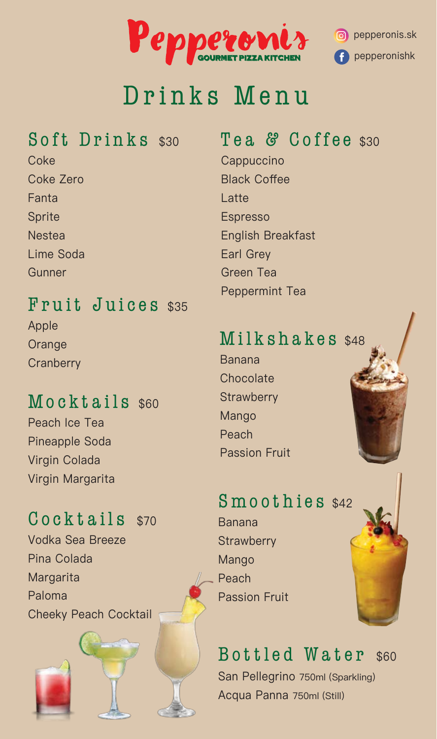

### Drinks Menu

#### Soft Drinks \$30

**Coke** Coke Zero Fanta Sprite **Nestea** Lime Soda **Gunner** 

#### Fruit Juices \$35 Apple

**Orange Cranberry** 

#### Mocktails \$60

Peach Ice Tea Pineapple Soda Virgin Colada Virgin Margarita

#### Cocktails \$70

Vodka Sea Breeze Pina Colada Margarita Paloma Cheeky Peach Cocktail

#### Tea & Coffee \$30

**Cappuccino** Black Coffee Latte Espresso English Breakfast Earl Grey Green Tea Peppermint Tea

#### Milkshakes \$48

Banana **Chocolate Strawberry** Mango Peach Passion Fruit

# Smoothies \$42 **Strawberry**

Mango Peach Passion Fruit

Banana

#### Bottled Water \$60

San Pellegrino 750ml (Sparkling) Acqua Panna 750ml (Still)